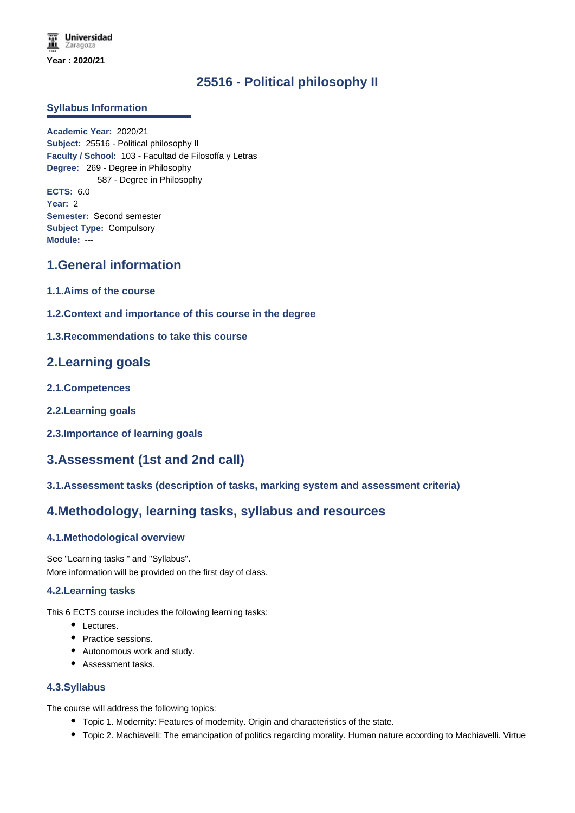# **25516 - Political philosophy II**

### **Syllabus Information**

**Academic Year:** 2020/21 **Subject:** 25516 - Political philosophy II **Faculty / School:** 103 - Facultad de Filosofía y Letras **Degree:** 269 - Degree in Philosophy 587 - Degree in Philosophy **ECTS:** 6.0 **Year:** 2 **Semester:** Second semester **Subject Type:** Compulsory **Module:** ---

# **1.General information**

- **1.1.Aims of the course**
- **1.2.Context and importance of this course in the degree**
- **1.3.Recommendations to take this course**

## **2.Learning goals**

- **2.1.Competences**
- **2.2.Learning goals**
- **2.3.Importance of learning goals**

# **3.Assessment (1st and 2nd call)**

**3.1.Assessment tasks (description of tasks, marking system and assessment criteria)**

# **4.Methodology, learning tasks, syllabus and resources**

## **4.1.Methodological overview**

See "Learning tasks " and "Syllabus". More information will be provided on the first day of class.

### **4.2.Learning tasks**

This 6 ECTS course includes the following learning tasks:

- Lectures.
- Practice sessions.
- Autonomous work and study.
- Assessment tasks.

### **4.3.Syllabus**

The course will address the following topics:

- Topic 1. Modernity: Features of modernity. Origin and characteristics of the state.
- Topic 2. Machiavelli: The emancipation of politics regarding morality. Human nature according to Machiavelli. Virtue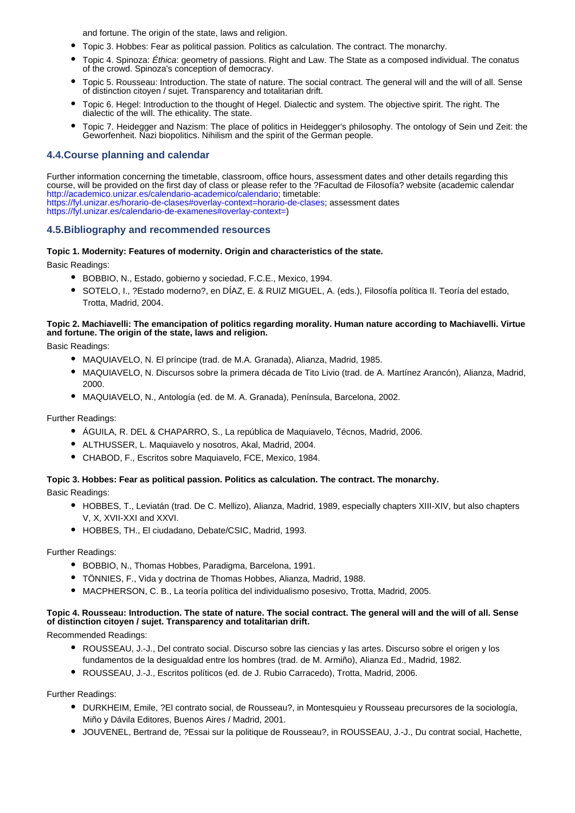and fortune. The origin of the state, laws and religion.

- Topic 3. Hobbes: Fear as political passion. Politics as calculation. The contract. The monarchy.
- Topic 4. Spinoza: *Éthica*: geometry of passions. Right and Law. The State as a composed individual. The conatus of the crowd. Spinoza's conception of democracy.
- Topic 5. Rousseau: Introduction. The state of nature. The social contract. The general will and the will of all. Sense of distinction citoyen / sujet. Transparency and totalitarian drift.
- Topic 6. Hegel: Introduction to the thought of Hegel. Dialectic and system. The objective spirit. The right. The dialectic of the will. The ethicality. The state.
- Topic 7. Heidegger and Nazism: The place of politics in Heidegger's philosophy. The ontology of Sein und Zeit: the Geworfenheit. Nazi biopolitics. Nihilism and the spirit of the German people.

### **4.4.Course planning and calendar**

Further information concerning the timetable, classroom, office hours, assessment dates and other details regarding this course, will be provided on the first day of class or please refer to the ?Facultad de Filosofía? website (academic calendar http://academico.unizar.es/calendario-academico/calendario; timetable: https://fyl.unizar.es/horario-de-clases#overlay-context=horario-de-clases; assessment dates https://fyl.unizar.es/calendario-de-examenes#overlay-context=)

#### **4.5.Bibliography and recommended resources**

#### **Topic 1. Modernity: Features of modernity. Origin and characteristics of the state.**

Basic Readings:

- BOBBIO, N., Estado, gobierno y sociedad, F.C.E., Mexico, 1994.
- SOTELO, I., ?Estado moderno?, en DÍAZ, E. & RUIZ MIGUEL, A. (eds.), Filosofía política II. Teoría del estado, Trotta, Madrid, 2004.

#### **Topic 2. Machiavelli: The emancipation of politics regarding morality. Human nature according to Machiavelli. Virtue and fortune. The origin of the state, laws and religion.**

Basic Readings:

- MAQUIAVELO, N. El príncipe (trad. de M.A. Granada), Alianza, Madrid, 1985.
- MAQUIAVELO, N. Discursos sobre la primera década de Tito Livio (trad. de A. Martínez Arancón), Alianza, Madrid, 2000.
- MAQUIAVELO, N., Antología (ed. de M. A. Granada), Península, Barcelona, 2002.

Further Readings:

- ÁGUILA, R. DEL & CHAPARRO, S., La república de Maquiavelo, Técnos, Madrid, 2006.
- ALTHUSSER, L. Maquiavelo y nosotros, Akal, Madrid, 2004.
- CHABOD, F., Escritos sobre Maquiavelo, FCE, Mexico, 1984.

## **Topic 3. Hobbes: Fear as political passion. Politics as calculation. The contract. The monarchy.**

Basic Readings:

- HOBBES, T., Leviatán (trad. De C. Mellizo), Alianza, Madrid, 1989, especially chapters XIII-XIV, but also chapters V, X, XVII-XXI and XXVI.
- HOBBES, TH., El ciudadano, Debate/CSIC, Madrid, 1993.

Further Readings:

- BOBBIO, N., Thomas Hobbes, Paradigma, Barcelona, 1991.
- TÖNNIES, F., Vida y doctrina de Thomas Hobbes, Alianza, Madrid, 1988.
- MACPHERSON, C. B., La teoría política del individualismo posesivo, Trotta, Madrid, 2005.

#### **Topic 4. Rousseau: Introduction. The state of nature. The social contract. The general will and the will of all. Sense of distinction citoyen / sujet. Transparency and totalitarian drift.**

Recommended Readings:

- ROUSSEAU, J.-J., Del contrato social. Discurso sobre las ciencias y las artes. Discurso sobre el origen y los fundamentos de la desigualdad entre los hombres (trad. de M. Armiño), Alianza Ed., Madrid, 1982.
- ROUSSEAU, J.-J., Escritos políticos (ed. de J. Rubio Carracedo), Trotta, Madrid, 2006.

Further Readings:

- DURKHEIM, Emile, ?El contrato social, de Rousseau?, in Montesquieu y Rousseau precursores de la sociología, Miño y Dávila Editores, Buenos Aires / Madrid, 2001.
- JOUVENEL, Bertrand de, ?Essai sur la politique de Rousseau?, in ROUSSEAU, J.-J., Du contrat social, Hachette,